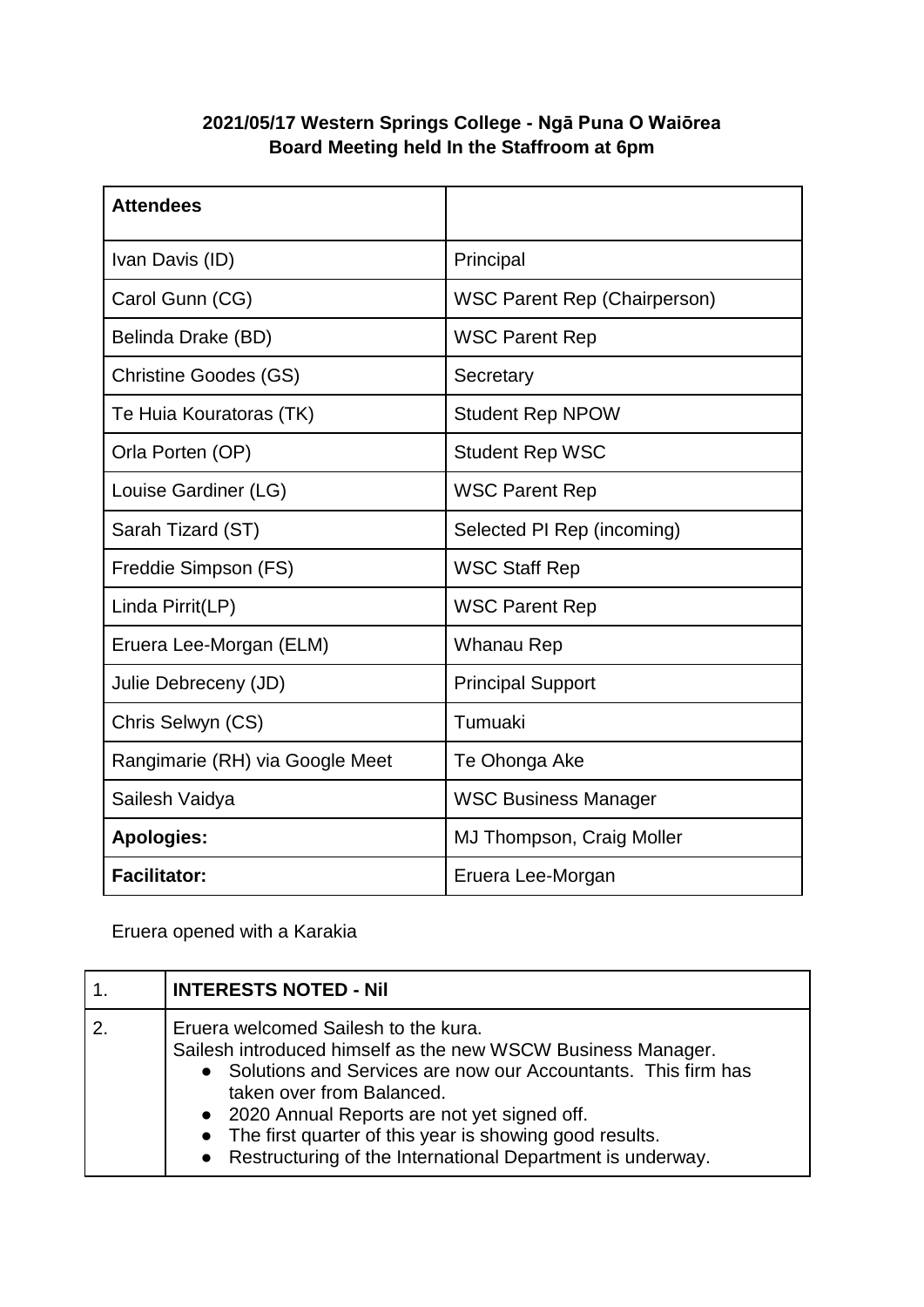## **2021/05/17 Western Springs College - Ngā Puna O Waiōrea Board Meeting held In the Staffroom at 6pm**

| <b>Attendees</b>                |                                     |
|---------------------------------|-------------------------------------|
| Ivan Davis (ID)                 | Principal                           |
| Carol Gunn (CG)                 | <b>WSC Parent Rep (Chairperson)</b> |
| Belinda Drake (BD)              | <b>WSC Parent Rep</b>               |
| <b>Christine Goodes (GS)</b>    | Secretary                           |
| Te Huia Kouratoras (TK)         | <b>Student Rep NPOW</b>             |
| Orla Porten (OP)                | <b>Student Rep WSC</b>              |
| Louise Gardiner (LG)            | <b>WSC Parent Rep</b>               |
| Sarah Tizard (ST)               | Selected PI Rep (incoming)          |
| Freddie Simpson (FS)            | <b>WSC Staff Rep</b>                |
| Linda Pirrit(LP)                | <b>WSC Parent Rep</b>               |
| Eruera Lee-Morgan (ELM)         | Whanau Rep                          |
| Julie Debreceny (JD)            | <b>Principal Support</b>            |
| Chris Selwyn (CS)               | Tumuaki                             |
| Rangimarie (RH) via Google Meet | Te Ohonga Ake                       |
| Sailesh Vaidya                  | <b>WSC Business Manager</b>         |
| <b>Apologies:</b>               | MJ Thompson, Craig Moller           |
| <b>Facilitator:</b>             | Eruera Lee-Morgan                   |

Eruera opened with a Karakia

| <b>INTERESTS NOTED - Nil</b>                                                                                                                                                                                                                                                                                                                                                       |
|------------------------------------------------------------------------------------------------------------------------------------------------------------------------------------------------------------------------------------------------------------------------------------------------------------------------------------------------------------------------------------|
| Eruera welcomed Sailesh to the kura.<br>Sailesh introduced himself as the new WSCW Business Manager.<br>• Solutions and Services are now our Accountants. This firm has<br>taken over from Balanced.<br>• 2020 Annual Reports are not yet signed off.<br>• The first quarter of this year is showing good results.<br>• Restructuring of the International Department is underway. |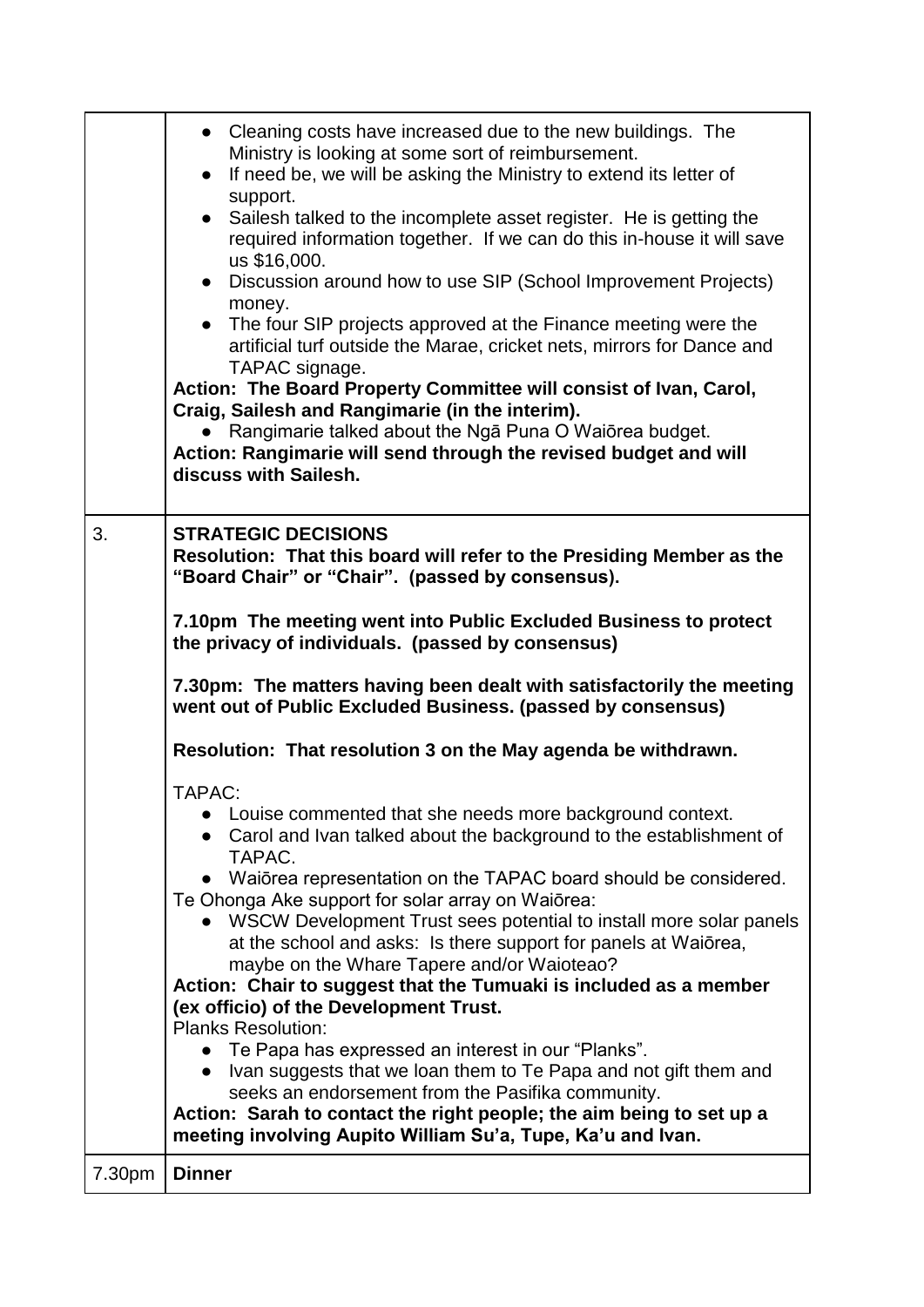|        | • Cleaning costs have increased due to the new buildings. The<br>Ministry is looking at some sort of reimbursement.<br>If need be, we will be asking the Ministry to extend its letter of<br>$\bullet$<br>support.<br>• Sailesh talked to the incomplete asset register. He is getting the<br>required information together. If we can do this in-house it will save<br>us \$16,000.<br>• Discussion around how to use SIP (School Improvement Projects)<br>money.<br>• The four SIP projects approved at the Finance meeting were the<br>artificial turf outside the Marae, cricket nets, mirrors for Dance and<br>TAPAC signage.<br>Action: The Board Property Committee will consist of Ivan, Carol,<br>Craig, Sailesh and Rangimarie (in the interim).<br>Rangimarie talked about the Nga Puna O Waiorea budget.<br>Action: Rangimarie will send through the revised budget and will<br>discuss with Sailesh.                                                                                      |  |
|--------|--------------------------------------------------------------------------------------------------------------------------------------------------------------------------------------------------------------------------------------------------------------------------------------------------------------------------------------------------------------------------------------------------------------------------------------------------------------------------------------------------------------------------------------------------------------------------------------------------------------------------------------------------------------------------------------------------------------------------------------------------------------------------------------------------------------------------------------------------------------------------------------------------------------------------------------------------------------------------------------------------------|--|
| 3.     | <b>STRATEGIC DECISIONS</b><br>Resolution: That this board will refer to the Presiding Member as the<br>"Board Chair" or "Chair". (passed by consensus).<br>7.10pm The meeting went into Public Excluded Business to protect<br>the privacy of individuals. (passed by consensus)<br>7.30pm: The matters having been dealt with satisfactorily the meeting<br>went out of Public Excluded Business. (passed by consensus)                                                                                                                                                                                                                                                                                                                                                                                                                                                                                                                                                                               |  |
|        | Resolution: That resolution 3 on the May agenda be withdrawn.<br>TAPAC:<br>Louise commented that she needs more background context.<br>Carol and Ivan talked about the background to the establishment of<br>TAPAC.<br>Waiorea representation on the TAPAC board should be considered.<br>Te Ohonga Ake support for solar array on Waiōrea:<br>WSCW Development Trust sees potential to install more solar panels<br>at the school and asks: Is there support for panels at Waiorea,<br>maybe on the Whare Tapere and/or Waioteao?<br>Action: Chair to suggest that the Tumuaki is included as a member<br>(ex officio) of the Development Trust.<br><b>Planks Resolution:</b><br>• Te Papa has expressed an interest in our "Planks".<br>Ivan suggests that we loan them to Te Papa and not gift them and<br>seeks an endorsement from the Pasifika community.<br>Action: Sarah to contact the right people; the aim being to set up a<br>meeting involving Aupito William Su'a, Tupe, Ka'u and Ivan. |  |
| 7.30pm | <b>Dinner</b>                                                                                                                                                                                                                                                                                                                                                                                                                                                                                                                                                                                                                                                                                                                                                                                                                                                                                                                                                                                          |  |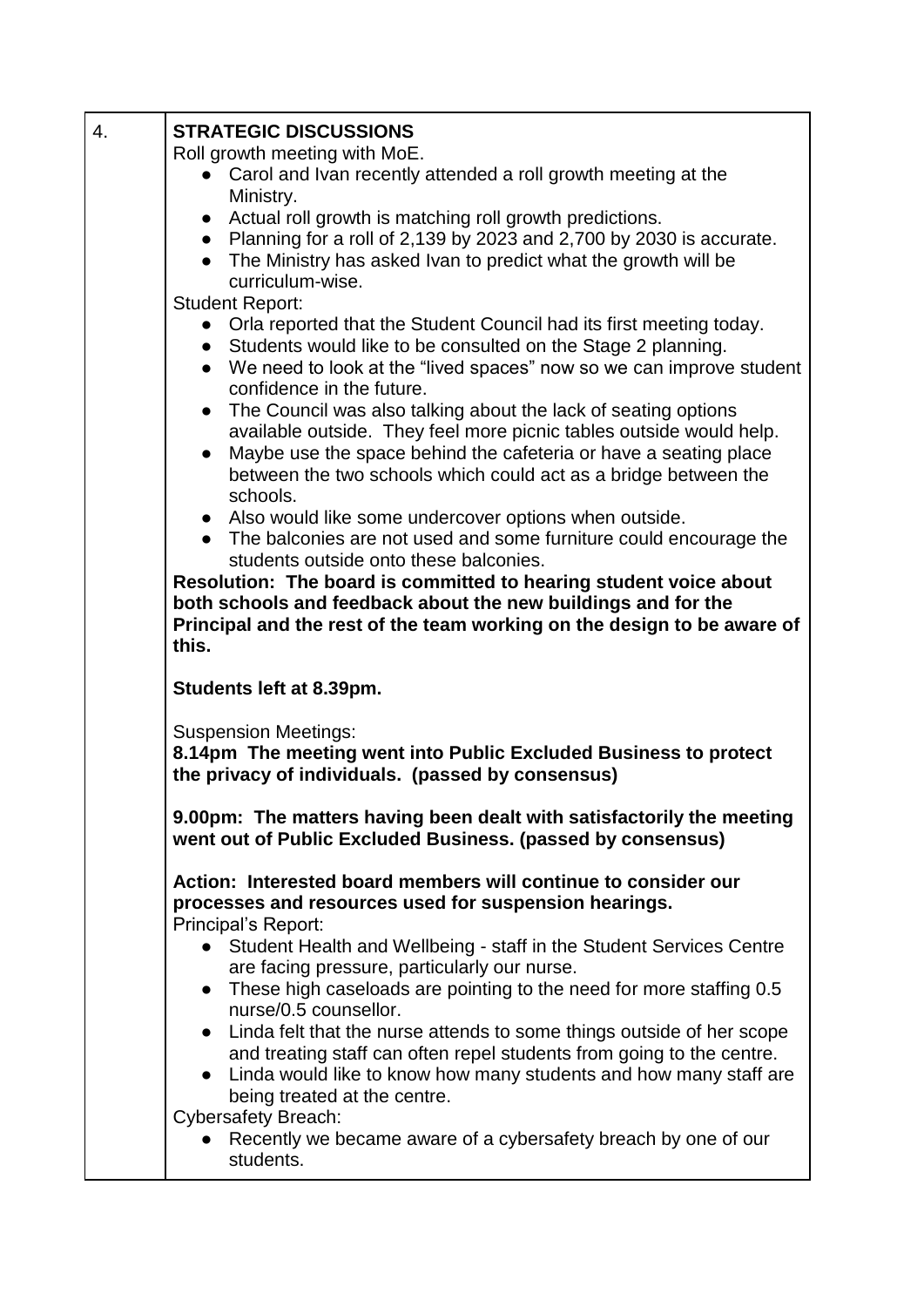| 4. | <b>STRATEGIC DISCUSSIONS</b>                                                                                                                                                                                                                  |  |  |
|----|-----------------------------------------------------------------------------------------------------------------------------------------------------------------------------------------------------------------------------------------------|--|--|
|    | Roll growth meeting with MoE.<br>• Carol and Ivan recently attended a roll growth meeting at the                                                                                                                                              |  |  |
|    | Ministry.                                                                                                                                                                                                                                     |  |  |
|    | • Actual roll growth is matching roll growth predictions.<br>Planning for a roll of 2,139 by 2023 and 2,700 by 2030 is accurate.<br>• The Ministry has asked Ivan to predict what the growth will be                                          |  |  |
|    | curriculum-wise.                                                                                                                                                                                                                              |  |  |
|    | <b>Student Report:</b>                                                                                                                                                                                                                        |  |  |
|    | • Orla reported that the Student Council had its first meeting today.<br>• Students would like to be consulted on the Stage 2 planning.<br>• We need to look at the "lived spaces" now so we can improve student<br>confidence in the future. |  |  |
|    | • The Council was also talking about the lack of seating options                                                                                                                                                                              |  |  |
|    | available outside. They feel more picnic tables outside would help.                                                                                                                                                                           |  |  |
|    | Maybe use the space behind the cafeteria or have a seating place<br>$\bullet$                                                                                                                                                                 |  |  |
|    | between the two schools which could act as a bridge between the<br>schools.                                                                                                                                                                   |  |  |
|    | • Also would like some undercover options when outside.                                                                                                                                                                                       |  |  |
|    | • The balconies are not used and some furniture could encourage the                                                                                                                                                                           |  |  |
|    | students outside onto these balconies.                                                                                                                                                                                                        |  |  |
|    | Resolution: The board is committed to hearing student voice about                                                                                                                                                                             |  |  |
|    | both schools and feedback about the new buildings and for the                                                                                                                                                                                 |  |  |
|    | Principal and the rest of the team working on the design to be aware of<br>this.                                                                                                                                                              |  |  |
|    |                                                                                                                                                                                                                                               |  |  |
|    | Students left at 8.39pm.                                                                                                                                                                                                                      |  |  |
|    | <b>Suspension Meetings:</b>                                                                                                                                                                                                                   |  |  |
|    | 8.14pm The meeting went into Public Excluded Business to protect<br>the privacy of individuals. (passed by consensus)                                                                                                                         |  |  |
|    | 9.00pm: The matters having been dealt with satisfactorily the meeting<br>went out of Public Excluded Business. (passed by consensus)                                                                                                          |  |  |
|    | Action: Interested board members will continue to consider our<br>processes and resources used for suspension hearings.<br>Principal's Report:                                                                                                |  |  |
|    | • Student Health and Wellbeing - staff in the Student Services Centre                                                                                                                                                                         |  |  |
|    | are facing pressure, particularly our nurse.<br>These high caseloads are pointing to the need for more staffing 0.5                                                                                                                           |  |  |
|    | $\bullet$<br>nurse/0.5 counsellor.                                                                                                                                                                                                            |  |  |
|    | Linda felt that the nurse attends to some things outside of her scope                                                                                                                                                                         |  |  |
|    | and treating staff can often repel students from going to the centre.                                                                                                                                                                         |  |  |
|    | Linda would like to know how many students and how many staff are<br>being treated at the centre.                                                                                                                                             |  |  |
|    | <b>Cybersafety Breach:</b>                                                                                                                                                                                                                    |  |  |
|    | Recently we became aware of a cybersafety breach by one of our<br>students.                                                                                                                                                                   |  |  |